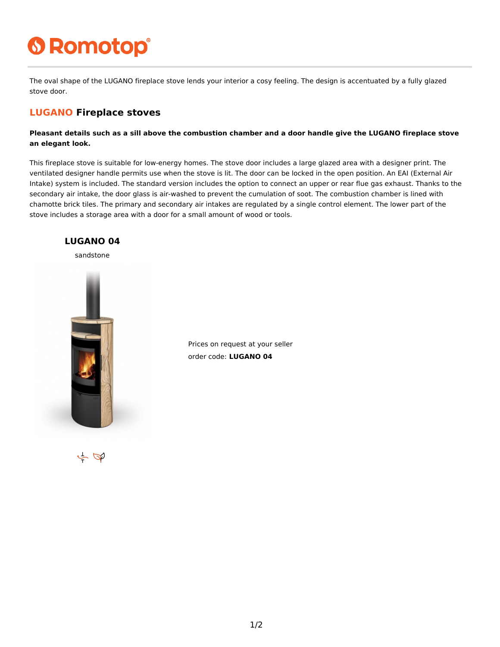## **6 Romotop®**

The oval shape of the LUGANO fireplace stove lends your interior a cosy feeling. The design is accentuated by a fully glazed stove door.

## **LUGANO Fireplace stoves**

**Pleasant details such as a sill above the combustion chamber and a door handle give the LUGANO fireplace stove an elegant look.**

This fireplace stove is suitable for low-energy homes. The stove door includes a large glazed area with a designer print. The ventilated designer handle permits use when the stove is lit. The door can be locked in the open position. An EAI (External Air Intake) system is included. The standard version includes the option to connect an upper or rear flue gas exhaust. Thanks to the secondary air intake, the door glass is air-washed to prevent the cumulation of soot. The combustion chamber is lined with chamotte brick tiles. The primary and secondary air intakes are regulated by a single control element. The lower part of the stove includes a storage area with a door for a small amount of wood or tools.



Prices on request at your seller order code: **LUGANO 04**

 $\sim \nabla$